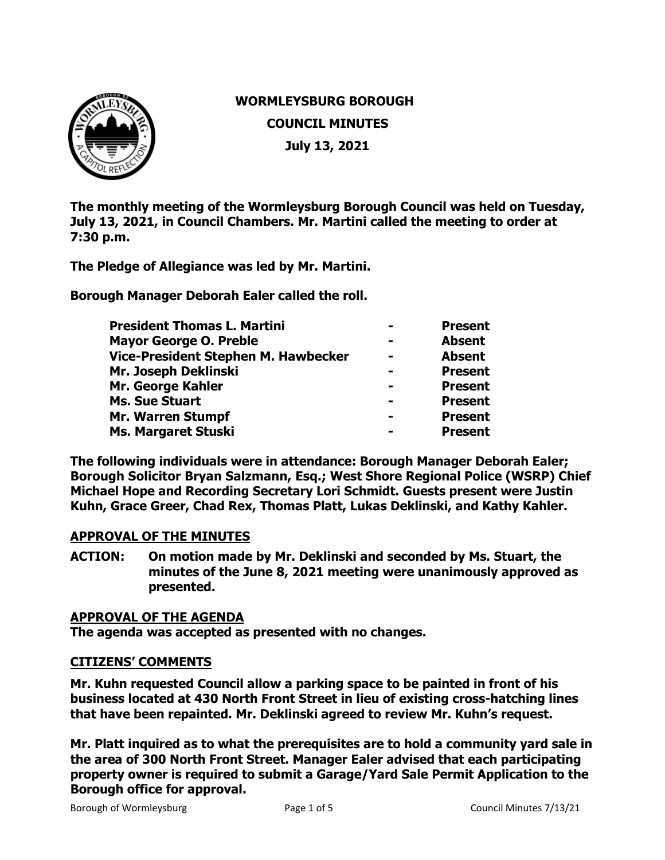

# **WORMLEYSBURG BOROUGH COUNCIL MINUTES July 13, 2021**

**The monthly meeting of the Wormleysburg Borough Council was held on Tuesday, July 13, 2021, in Council Chambers. Mr. Martini called the meeting to order at 7:30 p.m.**

**The Pledge of Allegiance was led by Mr. Martini.** 

**Borough Manager Deborah Ealer called the roll.** 

| <b>President Thomas L. Martini</b>  |                | <b>Present</b> |
|-------------------------------------|----------------|----------------|
| <b>Mayor George O. Preble</b>       |                | <b>Absent</b>  |
| Vice-President Stephen M. Hawbecker | $\blacksquare$ | <b>Absent</b>  |
| Mr. Joseph Deklinski                |                | <b>Present</b> |
| Mr. George Kahler                   |                | <b>Present</b> |
| <b>Ms. Sue Stuart</b>               |                | <b>Present</b> |
| <b>Mr. Warren Stumpf</b>            |                | <b>Present</b> |
| Ms. Margaret Stuski                 |                | <b>Present</b> |
|                                     |                |                |

**The following individuals were in attendance: Borough Manager Deborah Ealer; Borough Solicitor Bryan Salzmann, Esq.; West Shore Regional Police (WSRP) Chief Michael Hope and Recording Secretary Lori Schmidt. Guests present were Justin Kuhn, Grace Greer, Chad Rex, Thomas Platt, Lukas Deklinski, and Kathy Kahler.**

#### **APPROVAL OF THE MINUTES**

**ACTION: On motion made by Mr. Deklinski and seconded by Ms. Stuart, the minutes of the June 8, 2021 meeting were unanimously approved as presented.** 

#### **APPROVAL OF THE AGENDA**

**The agenda was accepted as presented with no changes.**

#### **CITIZENS' COMMENTS**

**Mr. Kuhn requested Council allow a parking space to be painted in front of his business located at 430 North Front Street in lieu of existing cross-hatching lines that have been repainted. Mr. Deklinski agreed to review Mr. Kuhn's request.**

**Mr. Platt inquired as to what the prerequisites are to hold a community yard sale in the area of 300 North Front Street. Manager Ealer advised that each participating property owner is required to submit a Garage/Yard Sale Permit Application to the Borough office for approval.**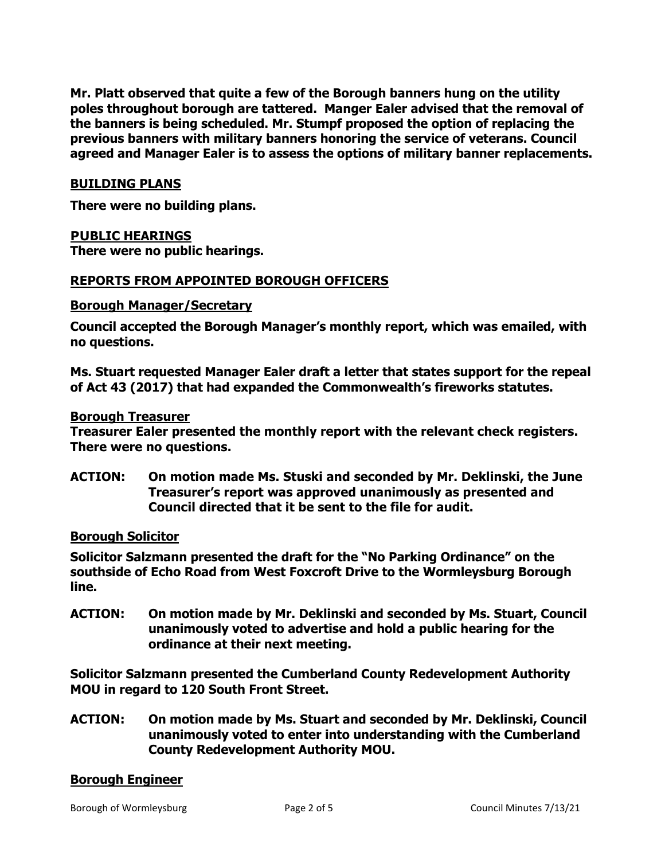**Mr. Platt observed that quite a few of the Borough banners hung on the utility poles throughout borough are tattered. Manger Ealer advised that the removal of the banners is being scheduled. Mr. Stumpf proposed the option of replacing the previous banners with military banners honoring the service of veterans. Council agreed and Manager Ealer is to assess the options of military banner replacements.** 

#### **BUILDING PLANS**

**There were no building plans.** 

## **PUBLIC HEARINGS**

**There were no public hearings.**

## **REPORTS FROM APPOINTED BOROUGH OFFICERS**

#### **Borough Manager/Secretary**

**Council accepted the Borough Manager's monthly report, which was emailed, with no questions.**

**Ms. Stuart requested Manager Ealer draft a letter that states support for the repeal of Act 43 (2017) that had expanded the Commonwealth's fireworks statutes.** 

#### **Borough Treasurer**

**Treasurer Ealer presented the monthly report with the relevant check registers. There were no questions.** 

**ACTION: On motion made Ms. Stuski and seconded by Mr. Deklinski, the June Treasurer's report was approved unanimously as presented and Council directed that it be sent to the file for audit.** 

#### **Borough Solicitor**

**Solicitor Salzmann presented the draft for the "No Parking Ordinance" on the southside of Echo Road from West Foxcroft Drive to the Wormleysburg Borough line.** 

**ACTION: On motion made by Mr. Deklinski and seconded by Ms. Stuart, Council unanimously voted to advertise and hold a public hearing for the ordinance at their next meeting.** 

**Solicitor Salzmann presented the Cumberland County Redevelopment Authority MOU in regard to 120 South Front Street.**

**ACTION: On motion made by Ms. Stuart and seconded by Mr. Deklinski, Council unanimously voted to enter into understanding with the Cumberland County Redevelopment Authority MOU.** 

#### **Borough Engineer**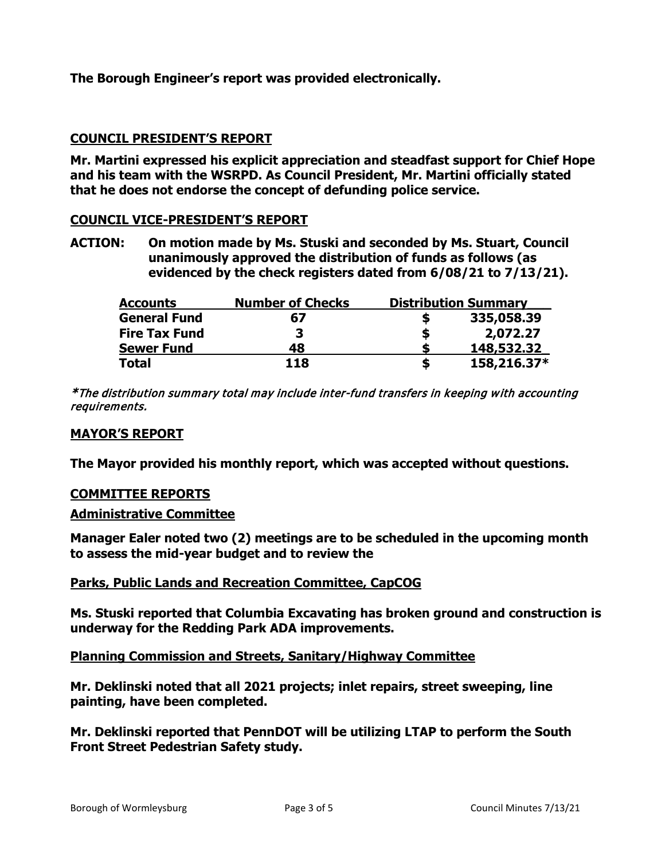**The Borough Engineer's report was provided electronically.** 

# **COUNCIL PRESIDENT'S REPORT**

**Mr. Martini expressed his explicit appreciation and steadfast support for Chief Hope and his team with the WSRPD. As Council President, Mr. Martini officially stated that he does not endorse the concept of defunding police service.**

## **COUNCIL VICE-PRESIDENT'S REPORT**

**ACTION: On motion made by Ms. Stuski and seconded by Ms. Stuart, Council unanimously approved the distribution of funds as follows (as evidenced by the check registers dated from 6/08/21 to 7/13/21).**

| <b>Accounts</b>      | <b>Number of Checks</b> | <b>Distribution Summary</b> |
|----------------------|-------------------------|-----------------------------|
| <b>General Fund</b>  | 67                      | 335,058.39                  |
| <b>Fire Tax Fund</b> |                         | 2,072.27                    |
| <b>Sewer Fund</b>    | 48                      | 148,532.32                  |
| <b>Total</b>         | 118                     | 158,216.37*                 |

\*The distribution summary total may include inter-fund transfers in keeping with accounting requirements.

#### **MAYOR'S REPORT**

**The Mayor provided his monthly report, which was accepted without questions.** 

#### **COMMITTEE REPORTS**

#### **Administrative Committee**

**Manager Ealer noted two (2) meetings are to be scheduled in the upcoming month to assess the mid-year budget and to review the** 

#### **Parks, Public Lands and Recreation Committee, CapCOG**

**Ms. Stuski reported that Columbia Excavating has broken ground and construction is underway for the Redding Park ADA improvements.** 

#### **Planning Commission and Streets, Sanitary/Highway Committee**

**Mr. Deklinski noted that all 2021 projects; inlet repairs, street sweeping, line painting, have been completed.**

**Mr. Deklinski reported that PennDOT will be utilizing LTAP to perform the South Front Street Pedestrian Safety study.**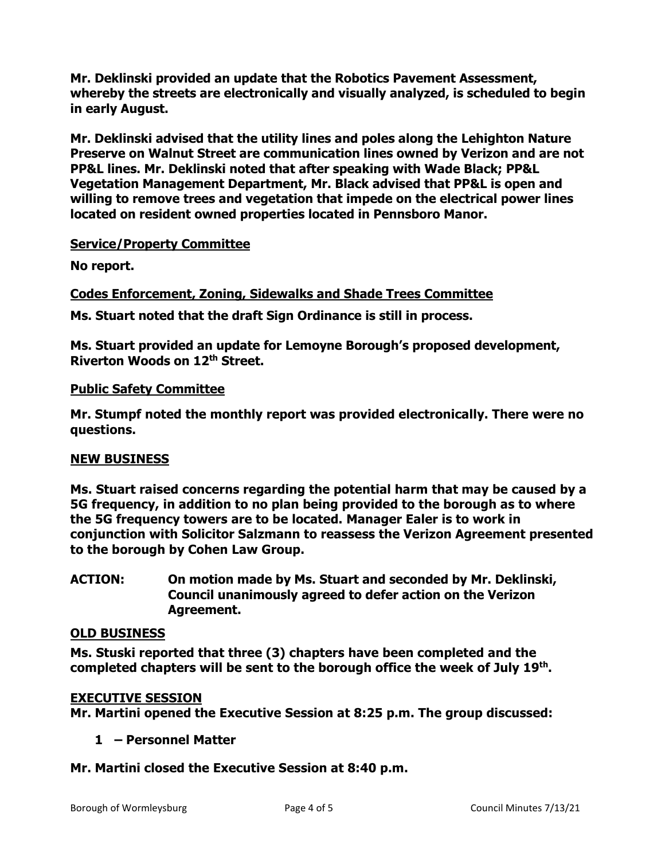**Mr. Deklinski provided an update that the Robotics Pavement Assessment, whereby the streets are electronically and visually analyzed, is scheduled to begin in early August.**

**Mr. Deklinski advised that the utility lines and poles along the Lehighton Nature Preserve on Walnut Street are communication lines owned by Verizon and are not PP&L lines. Mr. Deklinski noted that after speaking with Wade Black; PP&L Vegetation Management Department, Mr. Black advised that PP&L is open and willing to remove trees and vegetation that impede on the electrical power lines located on resident owned properties located in Pennsboro Manor.** 

# **Service/Property Committee**

**No report.**

# **Codes Enforcement, Zoning, Sidewalks and Shade Trees Committee**

**Ms. Stuart noted that the draft Sign Ordinance is still in process.** 

**Ms. Stuart provided an update for Lemoyne Borough's proposed development, Riverton Woods on 12th Street.**

## **Public Safety Committee**

**Mr. Stumpf noted the monthly report was provided electronically. There were no questions.** 

# **NEW BUSINESS**

**Ms. Stuart raised concerns regarding the potential harm that may be caused by a 5G frequency, in addition to no plan being provided to the borough as to where the 5G frequency towers are to be located. Manager Ealer is to work in conjunction with Solicitor Salzmann to reassess the Verizon Agreement presented to the borough by Cohen Law Group.**

**ACTION: On motion made by Ms. Stuart and seconded by Mr. Deklinski, Council unanimously agreed to defer action on the Verizon Agreement.** 

# **OLD BUSINESS**

**Ms. Stuski reported that three (3) chapters have been completed and the completed chapters will be sent to the borough office the week of July 19th.**

# **EXECUTIVE SESSION**

**Mr. Martini opened the Executive Session at 8:25 p.m. The group discussed:**

# **1 – Personnel Matter**

**Mr. Martini closed the Executive Session at 8:40 p.m.**